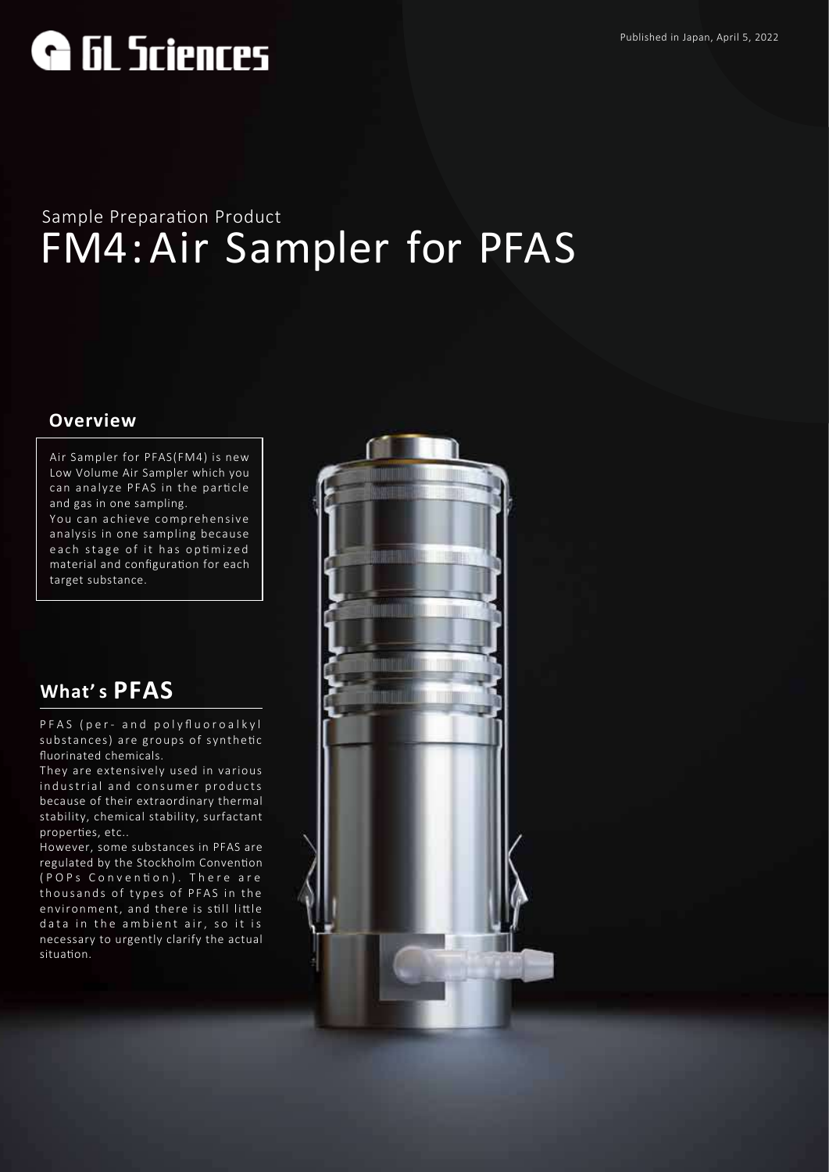Published in Japan, April 5, 2022

# **G** GL Sciences

# FM4:Air Sampler for PFAS Sample Preparation Product

#### **Overview**

Air Sampler for PFAS(FM4) is new Low Volume Air Sampler which you can analyze PFAS in the particle and gas in one sampling. You can achieve comprehensive analysis in one sampling because each stage of it has optimized material and configuration for each

## **What' s PFAS**

target substance.

PFAS (per- and polyfluoroalkyl substances) are groups of synthetic fluorinated chemicals.

They are extensively used in various industrial and consumer products because of their extraordinary thermal stability, chemical stability, surfactant properties, etc..

However, some substances in PFAS are regulated by the Stockholm Convention (POPs Conven�on). There are thousands of types of PFAS in the environment, and there is still little data in the ambient air, so it is necessary to urgently clarify the actual situation.